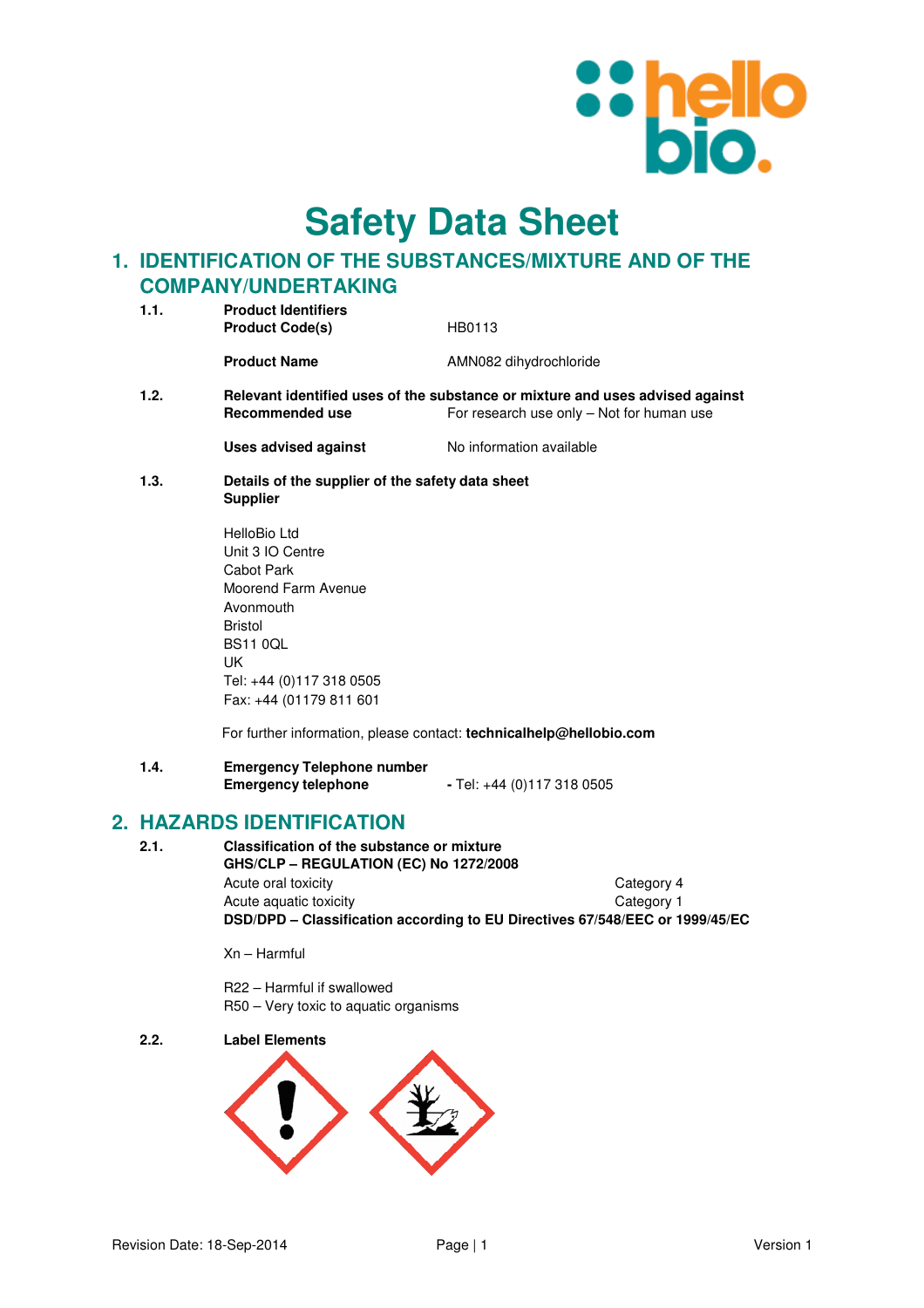

**Safety Data Sheet**

### **1. IDENTIFICATION OF THE SUBSTANCES/MIXTURE AND OF THE COMPANY/UNDERTAKING**

| 1.1. | <b>Product Identifiers</b><br><b>Product Code(s)</b>                | HB0113                                                                                                                     |
|------|---------------------------------------------------------------------|----------------------------------------------------------------------------------------------------------------------------|
|      | <b>Product Name</b>                                                 | AMN082 dihydrochloride                                                                                                     |
| 1.2. | Recommended use                                                     | Relevant identified uses of the substance or mixture and uses advised against<br>For research use only - Not for human use |
|      | Uses advised against                                                | No information available                                                                                                   |
| 1.3. | Details of the supplier of the safety data sheet<br><b>Supplier</b> |                                                                                                                            |
|      |                                                                     |                                                                                                                            |

HelloBio Ltd Unit 3 IO Centre Cabot Park Moorend Farm Avenue Avonmouth Bristol BS11 0QL UK Tel: +44 (0)117 318 0505 Fax: +44 (01179 811 601

For further information, please contact: **technicalhelp@hellobio.com** 

**1.4. Emergency Telephone number Emergency telephone** - Tel: +44 (0)117 318 0505

### **2. HAZARDS IDENTIFICATION**

**2.1. Classification of the substance or mixture GHS/CLP – REGULATION (EC) No 1272/2008**  Acute oral toxicity **Category 4** Acute aquatic toxicity **Category 1 DSD/DPD – Classification according to EU Directives 67/548/EEC or 1999/45/EC** 

Xn – Harmful

R22 – Harmful if swallowed R50 – Very toxic to aquatic organisms

**2.2. Label Elements** 

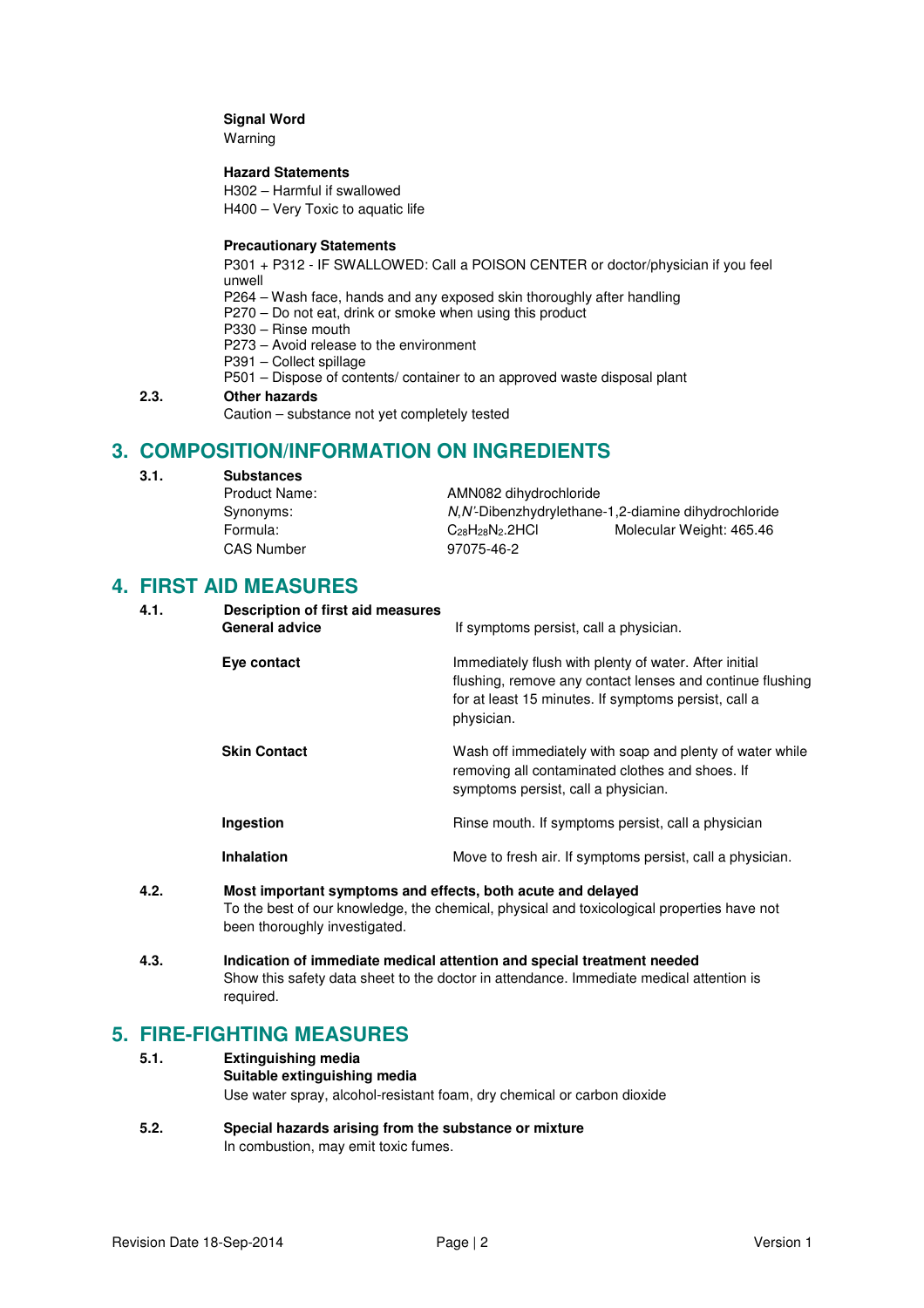### **Signal Word**

Warning

### **Hazard Statements**

H302 – Harmful if swallowed

H400 – Very Toxic to aquatic life

### **Precautionary Statements**

P301 + P312 - IF SWALLOWED: Call a POISON CENTER or doctor/physician if you feel unwell

P264 – Wash face, hands and any exposed skin thoroughly after handling

- P270 Do not eat, drink or smoke when using this product
- P330 Rinse mouth
- P273 Avoid release to the environment
- P391 Collect spillage
- P501 Dispose of contents/ container to an approved waste disposal plant

### **2.3. Other hazards**

Caution – substance not yet completely tested

### **3. COMPOSITION/INFORMATION ON INGREDIENTS**

**3.1. Substances** 

| Product Name:     | AMN082 dihydrochloride   |                                                       |
|-------------------|--------------------------|-------------------------------------------------------|
| Synonyms:         |                          | N, N'-Dibenzhydrylethane-1, 2-diamine dihydrochloride |
| Formula:          | $C_{28}H_{28}N_2$ . 2HCl | Molecular Weight: 465.46                              |
| <b>CAS Number</b> | 97075-46-2               |                                                       |

### **4. FIRST AID MEASURES**

| 4.1. | Description of first aid measures<br><b>General advice</b>  | If symptoms persist, call a physician.                                                                                                                                                   |
|------|-------------------------------------------------------------|------------------------------------------------------------------------------------------------------------------------------------------------------------------------------------------|
|      | Eye contact                                                 | Immediately flush with plenty of water. After initial<br>flushing, remove any contact lenses and continue flushing<br>for at least 15 minutes. If symptoms persist, call a<br>physician. |
|      | <b>Skin Contact</b>                                         | Wash off immediately with soap and plenty of water while<br>removing all contaminated clothes and shoes. If<br>symptoms persist, call a physician.                                       |
|      | Ingestion                                                   | Rinse mouth. If symptoms persist, call a physician                                                                                                                                       |
|      | <b>Inhalation</b>                                           | Move to fresh air. If symptoms persist, call a physician.                                                                                                                                |
| 4.2. | Most important symptoms and effects, both acute and delayed |                                                                                                                                                                                          |

- To the best of our knowledge, the chemical, physical and toxicological properties have not been thoroughly investigated.
- **4.3. Indication of immediate medical attention and special treatment needed**  Show this safety data sheet to the doctor in attendance. Immediate medical attention is required.

### **5. FIRE-FIGHTING MEASURES**

- **5.1. Extinguishing media Suitable extinguishing media** Use water spray, alcohol-resistant foam, dry chemical or carbon dioxide
- **5.2. Special hazards arising from the substance or mixture**  In combustion, may emit toxic fumes.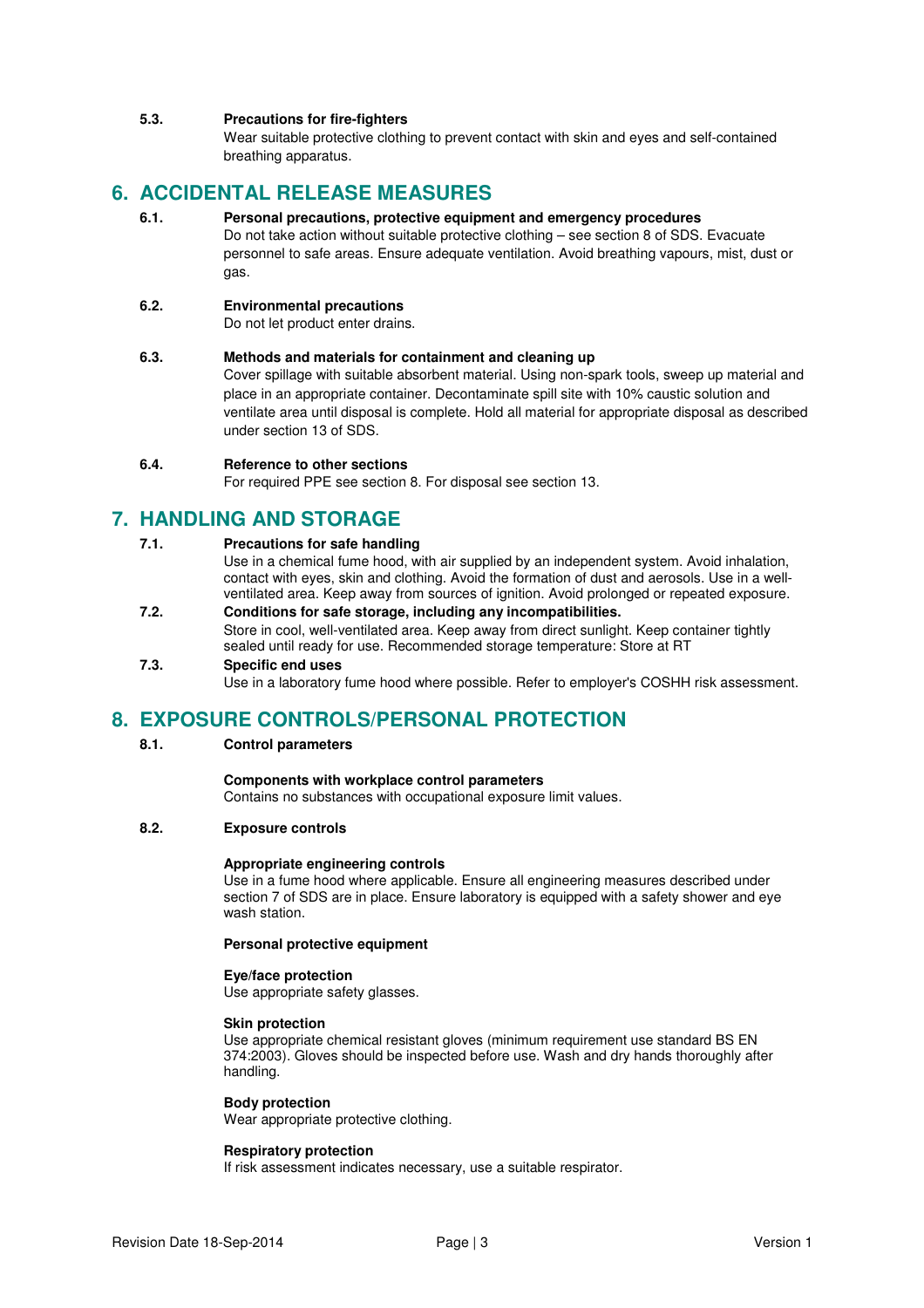### **5.3. Precautions for fire-fighters**

Wear suitable protective clothing to prevent contact with skin and eyes and self-contained breathing apparatus.

### **6. ACCIDENTAL RELEASE MEASURES**

### **6.1. Personal precautions, protective equipment and emergency procedures**

Do not take action without suitable protective clothing – see section 8 of SDS. Evacuate personnel to safe areas. Ensure adequate ventilation. Avoid breathing vapours, mist, dust or gas.

### **6.2. Environmental precautions**

Do not let product enter drains.

### **6.3. Methods and materials for containment and cleaning up**

Cover spillage with suitable absorbent material. Using non-spark tools, sweep up material and place in an appropriate container. Decontaminate spill site with 10% caustic solution and ventilate area until disposal is complete. Hold all material for appropriate disposal as described under section 13 of SDS.

### **6.4. Reference to other sections**

For required PPE see section 8. For disposal see section 13.

### **7. HANDLING AND STORAGE**

### **7.1. Precautions for safe handling**

Use in a chemical fume hood, with air supplied by an independent system. Avoid inhalation, contact with eyes, skin and clothing. Avoid the formation of dust and aerosols. Use in a wellventilated area. Keep away from sources of ignition. Avoid prolonged or repeated exposure.

#### **7.2. Conditions for safe storage, including any incompatibilities.**  Store in cool, well-ventilated area. Keep away from direct sunlight. Keep container tightly sealed until ready for use. Recommended storage temperature: Store at RT

### **7.3. Specific end uses**

Use in a laboratory fume hood where possible. Refer to employer's COSHH risk assessment.

### **8. EXPOSURE CONTROLS/PERSONAL PROTECTION**

### **8.1. Control parameters**

#### **Components with workplace control parameters**

Contains no substances with occupational exposure limit values.

### **8.2. Exposure controls**

#### **Appropriate engineering controls**

Use in a fume hood where applicable. Ensure all engineering measures described under section 7 of SDS are in place. Ensure laboratory is equipped with a safety shower and eye wash station.

#### **Personal protective equipment**

### **Eye/face protection**

Use appropriate safety glasses.

#### **Skin protection**

Use appropriate chemical resistant gloves (minimum requirement use standard BS EN 374:2003). Gloves should be inspected before use. Wash and dry hands thoroughly after handling.

#### **Body protection**

Wear appropriate protective clothing.

#### **Respiratory protection**

If risk assessment indicates necessary, use a suitable respirator.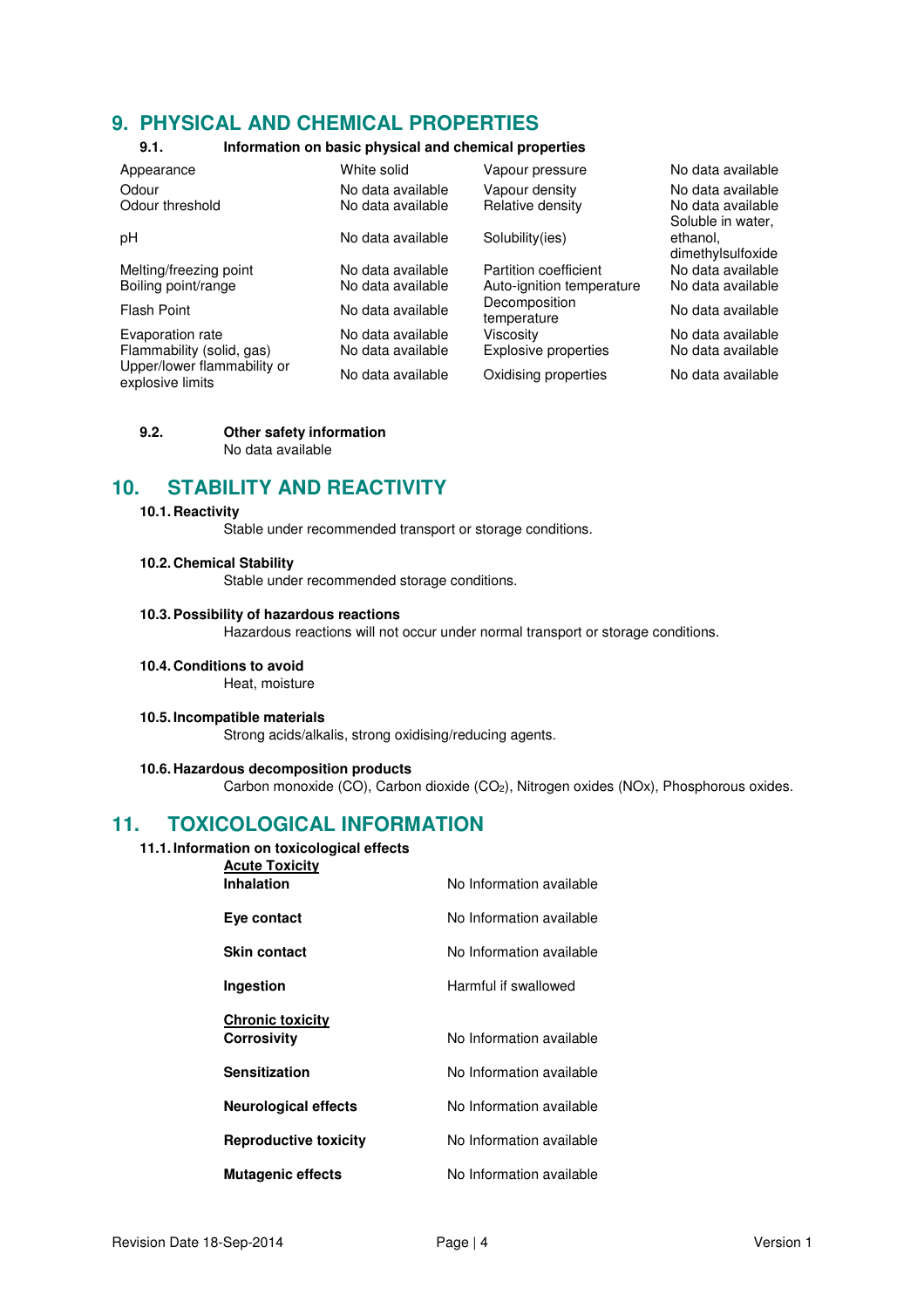### **9. PHYSICAL AND CHEMICAL PROPERTIES**

### **9.1. Information on basic physical and chemical properties**

| Appearance                                      | White solid       | Vapour pressure              | No data available                      |
|-------------------------------------------------|-------------------|------------------------------|----------------------------------------|
| Odour                                           | No data available | Vapour density               | No data available                      |
| Odour threshold                                 | No data available | Relative density             | No data available<br>Soluble in water, |
| pH                                              | No data available | Solubility(ies)              | ethanol.<br>dimethylsulfoxide          |
| Melting/freezing point                          | No data available | Partition coefficient        | No data available                      |
| Boiling point/range                             | No data available | Auto-ignition temperature    | No data available                      |
| Flash Point                                     | No data available | Decomposition<br>temperature | No data available                      |
| Evaporation rate                                | No data available | Viscosity                    | No data available                      |
| Flammability (solid, gas)                       | No data available | Explosive properties         | No data available                      |
| Upper/lower flammability or<br>explosive limits | No data available | Oxidising properties         | No data available                      |

#### **9.2. Other safety information**  No data available

### **10. STABILITY AND REACTIVITY**

### **10.1. Reactivity**

Stable under recommended transport or storage conditions.

### **10.2. Chemical Stability**

Stable under recommended storage conditions.

#### **10.3. Possibility of hazardous reactions**

Hazardous reactions will not occur under normal transport or storage conditions.

**10.4. Conditions to avoid** 

Heat, moisture

#### **10.5. Incompatible materials**

Strong acids/alkalis, strong oxidising/reducing agents.

### **10.6. Hazardous decomposition products**

Carbon monoxide (CO), Carbon dioxide (CO<sub>2</sub>), Nitrogen oxides (NOx), Phosphorous oxides.

### **11. TOXICOLOGICAL INFORMATION**

### **11.1. Information on toxicological effects**

| No Information available |
|--------------------------|
| No Information available |
| No Information available |
| Harmful if swallowed     |
|                          |
| No Information available |
| No Information available |
| No Information available |
| No Information available |
| No Information available |
|                          |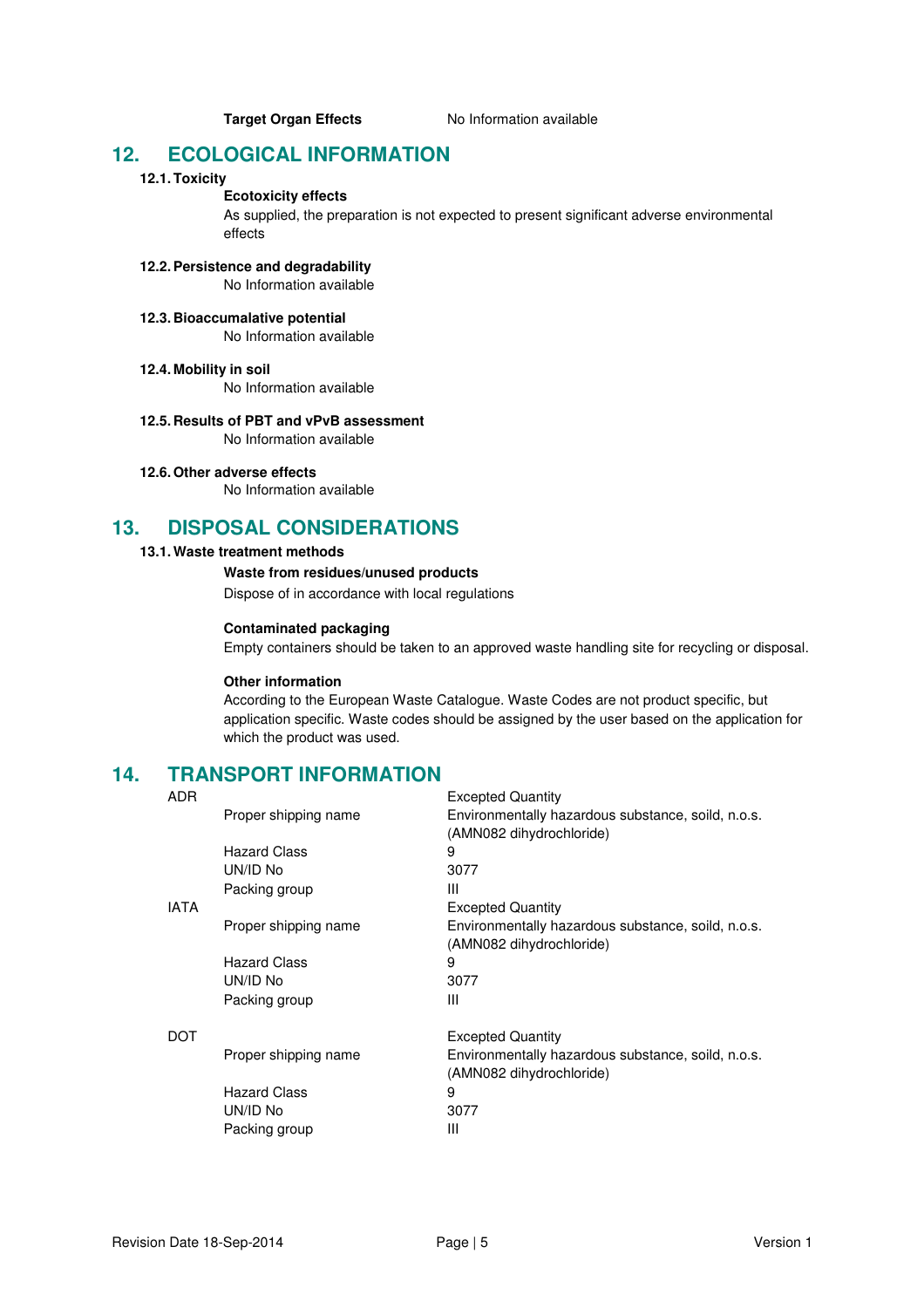**Target Organ Effects** No Information available

### **12. ECOLOGICAL INFORMATION**

### **12.1. Toxicity**

### **Ecotoxicity effects**

As supplied, the preparation is not expected to present significant adverse environmental effects

### **12.2. Persistence and degradability**

No Information available

#### **12.3. Bioaccumalative potential**  No Information available

### **12.4. Mobility in soil**

No Information available

#### **12.5. Results of PBT and vPvB assessment**  No Information available

### **12.6. Other adverse effects**

No Information available

### **13. DISPOSAL CONSIDERATIONS**

### **13.1. Waste treatment methods**

### **Waste from residues/unused products**

Dispose of in accordance with local regulations

### **Contaminated packaging**

Empty containers should be taken to an approved waste handling site for recycling or disposal.

### **Other information**

According to the European Waste Catalogue. Waste Codes are not product specific, but application specific. Waste codes should be assigned by the user based on the application for which the product was used.

Excepted Quantity

# **14. TRANSPORT INFORMATION**

| Proper shipping name | Environmentally hazardous substance, soild, n.o.s.<br>(AMN082 dihydrochloride) |
|----------------------|--------------------------------------------------------------------------------|
| <b>Hazard Class</b>  | 9                                                                              |
| UN/ID No             | 3077                                                                           |
| Packing group        | Ш                                                                              |
|                      | <b>Excepted Quantity</b>                                                       |
| Proper shipping name | Environmentally hazardous substance, soild, n.o.s.<br>(AMN082 dihydrochloride) |
| <b>Hazard Class</b>  | 9                                                                              |
| UN/ID No             | 3077                                                                           |
| Packing group        | Ш                                                                              |
|                      | <b>Excepted Quantity</b>                                                       |
| Proper shipping name | Environmentally hazardous substance, soild, n.o.s.<br>(AMN082 dihydrochloride) |
| <b>Hazard Class</b>  | 9                                                                              |
| UN/ID No             | 3077                                                                           |
| Packing group        | Ш                                                                              |
|                      |                                                                                |